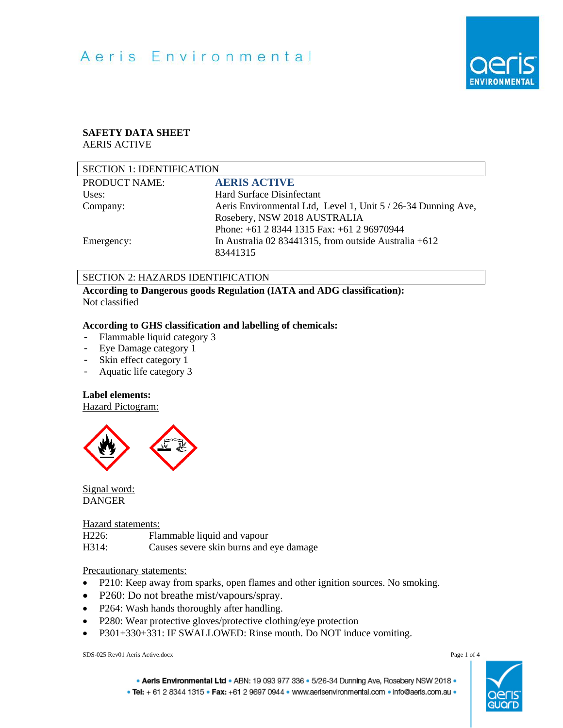

# **SAFETY DATA SHEET**

AERIS ACTIVE

| <b>SECTION 1: IDENTIFICATION</b> |                                                               |  |
|----------------------------------|---------------------------------------------------------------|--|
| <b>PRODUCT NAME:</b>             | <b>AERIS ACTIVE</b>                                           |  |
| Uses:                            | Hard Surface Disinfectant                                     |  |
| Company:                         | Aeris Environmental Ltd, Level 1, Unit 5 / 26-34 Dunning Ave, |  |
|                                  | Rosebery, NSW 2018 AUSTRALIA                                  |  |
|                                  | Phone: +61 2 8344 1315 Fax: +61 2 96970944                    |  |
| Emergency:                       | In Australia 02 83441315, from outside Australia $+612$       |  |
|                                  | 83441315                                                      |  |

## SECTION 2: HAZARDS IDENTIFICATION

**According to Dangerous goods Regulation (IATA and ADG classification):**  Not classified

# **According to GHS classification and labelling of chemicals:**

- Flammable liquid category 3
- Eye Damage category 1<br>- Skin effect category 1
- Skin effect category 1<br>- Aquatic life category 3
- Aquatic life category 3

# **Label elements:**

Hazard Pictogram:



Signal word: DANGER

## Hazard statements:

| H226: | Flammable liquid and vapour             |
|-------|-----------------------------------------|
| H314: | Causes severe skin burns and eye damage |

## Precautionary statements:

- P210: Keep away from sparks, open flames and other ignition sources. No smoking.
- P260: Do not breathe mist/vapours/spray.
- P264: Wash hands thoroughly after handling.
- P280: Wear protective gloves/protective clothing/eye protection
- P301+330+331: IF SWALLOWED: Rinse mouth. Do NOT induce vomiting.

SDS-025 Rev01 Aeris Active.docx Page 1 of 4

. Aeris Environmental Ltd . ABN: 19 093 977 336 . 5/26-34 Dunning Ave, Rosebery NSW 2018 .

. Tel: + 61 2 8344 1315 . Fax: +61 2 9697 0944 . www.aerisenvironmental.com . info@aeris.com.au .

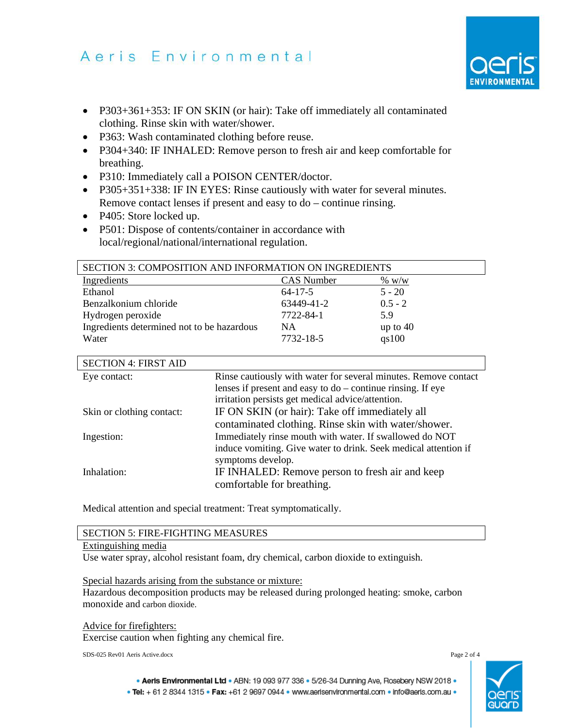- P303+361+353: IF ON SKIN (or hair): Take off immediately all contaminated clothing. Rinse skin with water/shower.
- P363: Wash contaminated clothing before reuse.
- P304+340: IF INHALED: Remove person to fresh air and keep comfortable for breathing.
- P310: Immediately call a POISON CENTER/doctor.
- P305+351+338: IF IN EYES: Rinse cautiously with water for several minutes. Remove contact lenses if present and easy to do – continue rinsing.
- P405: Store locked up.
- P501: Dispose of contents/container in accordance with local/regional/national/international regulation.

| <b>SECTION 3: COMPOSITION AND INFORMATION ON INGREDIENTS</b> |               |            |
|--------------------------------------------------------------|---------------|------------|
| Ingredients                                                  | CAS Number    | $\%~W/W$   |
| Ethanol                                                      | $64 - 17 - 5$ | $5 - 20$   |
| Benzalkonium chloride                                        | 63449-41-2    | $0.5 - 2$  |
| Hydrogen peroxide                                            | 7722-84-1     | 5.9        |
| Ingredients determined not to be hazardous                   | <b>NA</b>     | up to $40$ |
| Water                                                        | 7732-18-5     | qs100      |

| <b>SECTION 4: FIRST AID</b> |                                                                 |
|-----------------------------|-----------------------------------------------------------------|
| Eye contact:                | Rinse cautiously with water for several minutes. Remove contact |
|                             | lenses if present and easy to $do$ – continue rinsing. If eye   |
|                             | irritation persists get medical advice/attention.               |
| Skin or clothing contact:   | IF ON SKIN (or hair): Take off immediately all                  |
|                             | contaminated clothing. Rinse skin with water/shower.            |
| Ingestion:                  | Immediately rinse mouth with water. If swallowed do NOT         |
|                             | induce vomiting. Give water to drink. Seek medical attention if |
|                             | symptoms develop.                                               |
| Inhalation:                 | IF INHALED: Remove person to fresh air and keep                 |
|                             | comfortable for breathing.                                      |

Medical attention and special treatment: Treat symptomatically.

## SECTION 5: FIRE-FIGHTING MEASURES

## Extinguishing media

Use water spray, alcohol resistant foam, dry chemical, carbon dioxide to extinguish.

Special hazards arising from the substance or mixture:

Hazardous decomposition products may be released during prolonged heating: smoke, carbon monoxide and carbon dioxide.

Advice for firefighters: Exercise caution when fighting any chemical fire.

SDS-025 Rev01 Aeris Active.docx Page 2 of 4



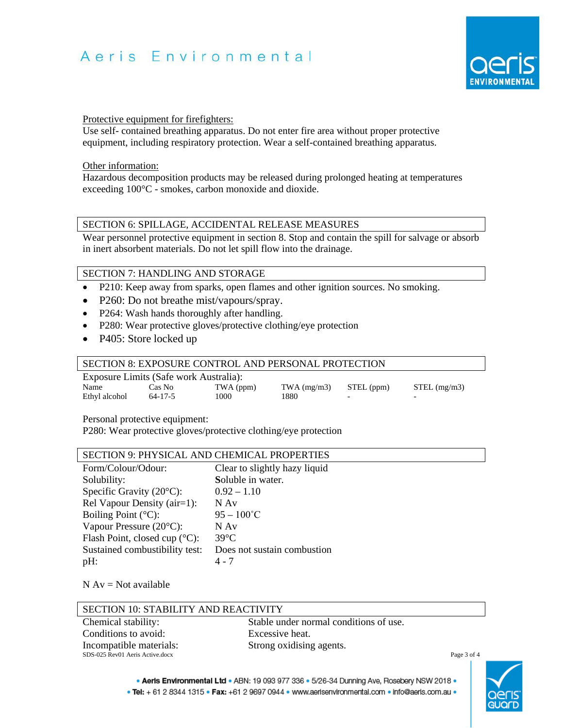

### Protective equipment for firefighters:

Use self- contained breathing apparatus. Do not enter fire area without proper protective equipment, including respiratory protection. Wear a self-contained breathing apparatus.

### Other information:

Hazardous decomposition products may be released during prolonged heating at temperatures exceeding 100°C - smokes, carbon monoxide and dioxide.

# SECTION 6: SPILLAGE, ACCIDENTAL RELEASE MEASURES

Wear personnel protective equipment in section 8. Stop and contain the spill for salvage or absorb in inert absorbent materials. Do not let spill flow into the drainage.

# SECTION 7: HANDLING AND STORAGE

- P210: Keep away from sparks, open flames and other ignition sources. No smoking.
- P260: Do not breathe mist/vapours/spray.
- P264: Wash hands thoroughly after handling.
- P280: Wear protective gloves/protective clothing/eye protection
- P405: Store locked up

# SECTION 8: EXPOSURE CONTROL AND PERSONAL PROTECTION Exposure Limits (Safe work Australia):

| Exposure Emmis (bure work reasonance). |         |           |                            |  |                |
|----------------------------------------|---------|-----------|----------------------------|--|----------------|
| Name                                   | Cas No  | TWA (ppm) | $TWA$ (mg/m3) $STEL$ (ppm) |  | $STEL$ (mg/m3) |
| Ethyl alcohol                          | 64-17-5 | 1000      | 1880                       |  |                |

Personal protective equipment:

P280: Wear protective gloves/protective clothing/eye protection

# SECTION 9: PHYSICAL AND CHEMICAL PROPERTIES

| Form/Colour/Odour:                      | Clear to slightly hazy liquid |
|-----------------------------------------|-------------------------------|
| Solubility:                             | Soluble in water.             |
| Specific Gravity $(20^{\circ}C)$ :      | $0.92 - 1.10$                 |
| Rel Vapour Density (air=1):             | N Av                          |
| Boiling Point $(^{\circ}C)$ :           | $95 - 100^{\circ}$ C          |
| Vapour Pressure $(20^{\circ}C)$ :       | $N$ Av                        |
| Flash Point, closed cup $(^{\circ}C)$ : | $39^{\circ}$ C                |
| Sustained combustibility test:          | Does not sustain combustion   |
| pH:                                     | 4 - 7                         |

### $N Av = Not available$

| SECTION 10: STABILITY AND REACTIVITY |                                        |             |  |
|--------------------------------------|----------------------------------------|-------------|--|
| Chemical stability:                  | Stable under normal conditions of use. |             |  |
| Conditions to avoid:                 | Excessive heat.                        |             |  |
| Incompatible materials:              | Strong oxidising agents.               |             |  |
| SDS-025 Rev01 Aeris Active.docx      |                                        | Page 3 of 4 |  |